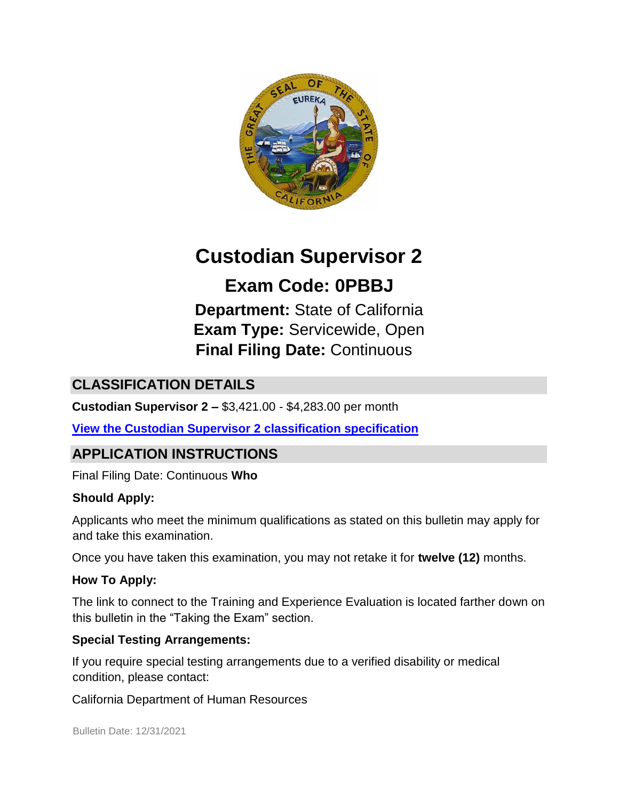

# **Custodian Supervisor 2**

**Exam Code: 0PBBJ Department:** State of California **Exam Type:** Servicewide, Open **Final Filing Date:** Continuous

# **CLASSIFICATION DETAILS**

**Custodian Supervisor 2 –** \$3,421.00 - \$4,283.00 per month

**[View the Custodian Supervisor 2](https://www.calhr.ca.gov/state-hr-professionals/Pages/2011.aspx) [classification specification](https://www.calhr.ca.gov/state-hr-professionals/Pages/2011.aspx)**

# **APPLICATION INSTRUCTIONS**

Final Filing Date: Continuous **Who** 

#### **Should Apply:**

Applicants who meet the minimum qualifications as stated on this bulletin may apply for and take this examination.

Once you have taken this examination, you may not retake it for **twelve (12)** months.

#### **How To Apply:**

The link to connect to the Training and Experience Evaluation is located farther down on this bulletin in the "Taking the Exam" section.

#### **Special Testing Arrangements:**

If you require special testing arrangements due to a verified disability or medical condition, please contact:

California Department of Human Resources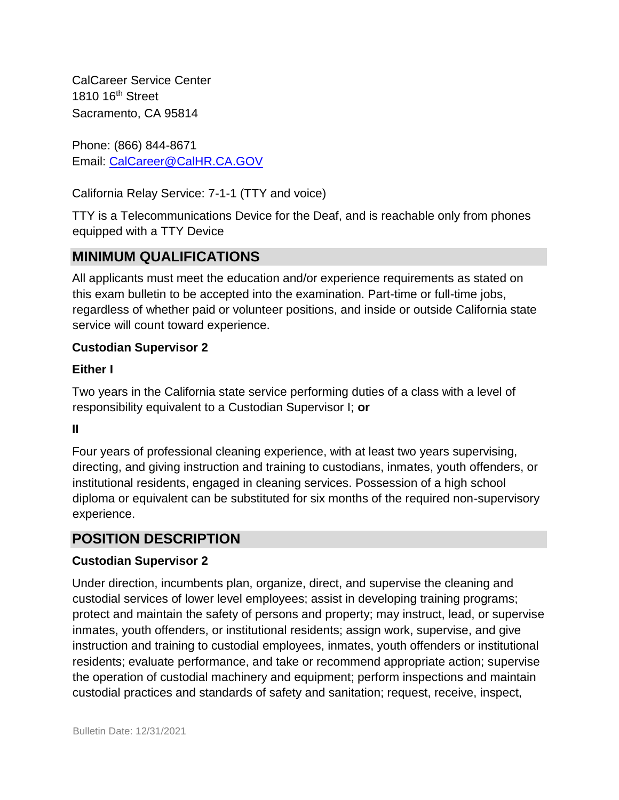CalCareer Service Center 1810 16<sup>th</sup> Street Sacramento, CA 95814

Phone: (866) 844-8671 Email: CalCareer@CalHR.CA.GOV

California Relay Service: 7-1-1 (TTY and voice)

TTY is a Telecommunications Device for the Deaf, and is reachable only from phones equipped with a TTY Device

### **MINIMUM QUALIFICATIONS**

All applicants must meet the education and/or experience requirements as stated on this exam bulletin to be accepted into the examination. Part-time or full-time jobs, regardless of whether paid or volunteer positions, and inside or outside California state service will count toward experience.

#### **Custodian Supervisor 2**

#### **Either I**

Two years in the California state service performing duties of a class with a level of responsibility equivalent to a Custodian Supervisor I; **or**

**II** 

Four years of professional cleaning experience, with at least two years supervising, directing, and giving instruction and training to custodians, inmates, youth offenders, or institutional residents, engaged in cleaning services. Possession of a high school diploma or equivalent can be substituted for six months of the required non-supervisory experience.

### **POSITION DESCRIPTION**

#### **Custodian Supervisor 2**

Under direction, incumbents plan, organize, direct, and supervise the cleaning and custodial services of lower level employees; assist in developing training programs; protect and maintain the safety of persons and property; may instruct, lead, or supervise inmates, youth offenders, or institutional residents; assign work, supervise, and give instruction and training to custodial employees, inmates, youth offenders or institutional residents; evaluate performance, and take or recommend appropriate action; supervise the operation of custodial machinery and equipment; perform inspections and maintain custodial practices and standards of safety and sanitation; request, receive, inspect,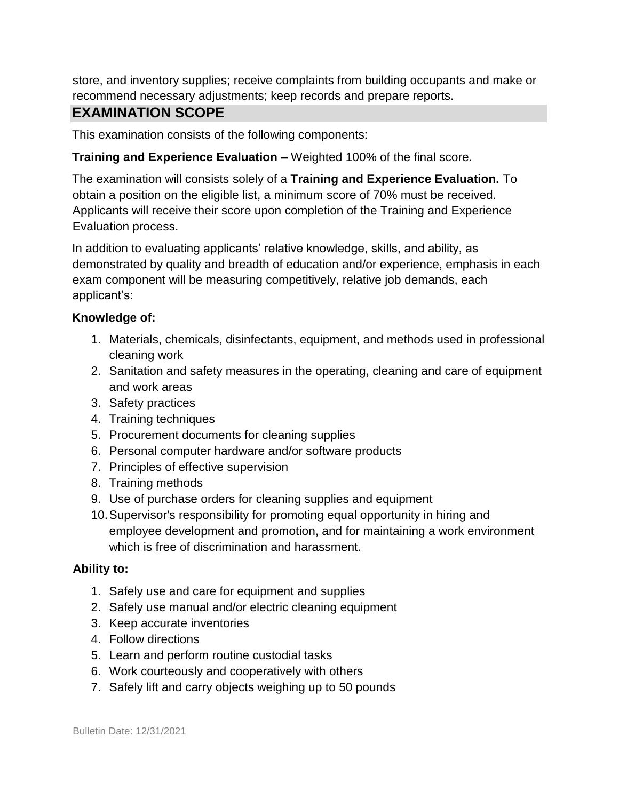store, and inventory supplies; receive complaints from building occupants and make or recommend necessary adjustments; keep records and prepare reports.

### **EXAMINATION SCOPE**

This examination consists of the following components:

#### **Training and Experience Evaluation –** Weighted 100% of the final score.

The examination will consists solely of a **Training and Experience Evaluation.** To obtain a position on the eligible list, a minimum score of 70% must be received. Applicants will receive their score upon completion of the Training and Experience Evaluation process.

In addition to evaluating applicants' relative knowledge, skills, and ability, as demonstrated by quality and breadth of education and/or experience, emphasis in each exam component will be measuring competitively, relative job demands, each applicant's:

#### **Knowledge of:**

- 1. Materials, chemicals, disinfectants, equipment, and methods used in professional cleaning work
- 2. Sanitation and safety measures in the operating, cleaning and care of equipment and work areas
- 3. Safety practices
- 4. Training techniques
- 5. Procurement documents for cleaning supplies
- 6. Personal computer hardware and/or software products
- 7. Principles of effective supervision
- 8. Training methods
- 9. Use of purchase orders for cleaning supplies and equipment
- 10.Supervisor's responsibility for promoting equal opportunity in hiring and employee development and promotion, and for maintaining a work environment which is free of discrimination and harassment.

#### **Ability to:**

- 1. Safely use and care for equipment and supplies
- 2. Safely use manual and/or electric cleaning equipment
- 3. Keep accurate inventories
- 4. Follow directions
- 5. Learn and perform routine custodial tasks
- 6. Work courteously and cooperatively with others
- 7. Safely lift and carry objects weighing up to 50 pounds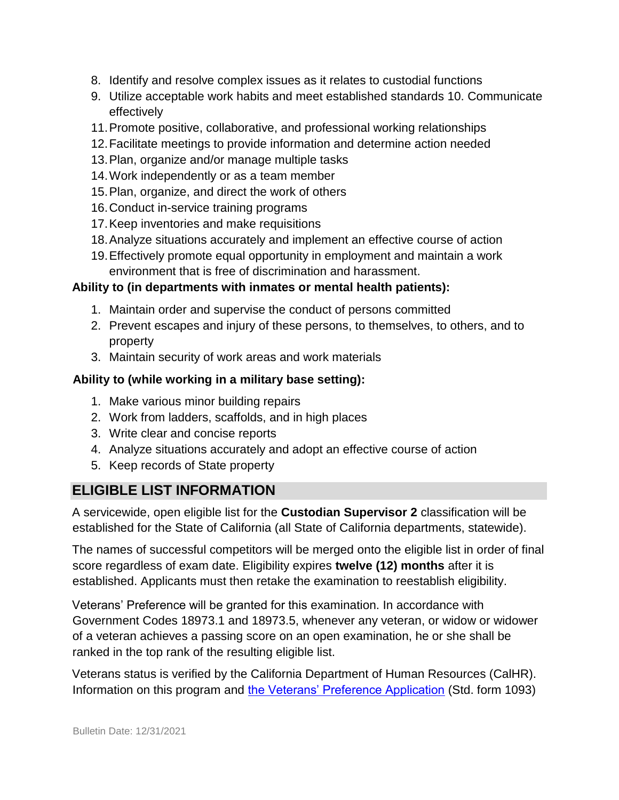- 8. Identify and resolve complex issues as it relates to custodial functions
- 9. Utilize acceptable work habits and meet established standards 10. Communicate effectively
- 11.Promote positive, collaborative, and professional working relationships
- 12.Facilitate meetings to provide information and determine action needed
- 13.Plan, organize and/or manage multiple tasks
- 14.Work independently or as a team member
- 15.Plan, organize, and direct the work of others
- 16.Conduct in-service training programs
- 17.Keep inventories and make requisitions
- 18.Analyze situations accurately and implement an effective course of action
- 19.Effectively promote equal opportunity in employment and maintain a work environment that is free of discrimination and harassment.

#### **Ability to (in departments with inmates or mental health patients):**

- 1. Maintain order and supervise the conduct of persons committed
- 2. Prevent escapes and injury of these persons, to themselves, to others, and to property
- 3. Maintain security of work areas and work materials

#### **Ability to (while working in a military base setting):**

- 1. Make various minor building repairs
- 2. Work from ladders, scaffolds, and in high places
- 3. Write clear and concise reports
- 4. Analyze situations accurately and adopt an effective course of action
- 5. Keep records of State property

# **ELIGIBLE LIST INFORMATION**

A servicewide, open eligible list for the **Custodian Supervisor 2** classification will be established for the State of California (all State of California departments, statewide).

The names of successful competitors will be merged onto the eligible list in order of final score regardless of exam date. Eligibility expires **twelve (12) months** after it is established. Applicants must then retake the examination to reestablish eligibility.

Veterans' Preference will be granted for this examination. In accordance with Government Codes 18973.1 and 18973.5, whenever any veteran, or widow or widower of a veteran achieves a passing score on an open examination, he or she shall be ranked in the top rank of the resulting eligible list.

Veterans status is verified by the California Department of Human Resources (CalHR). Information on this program and [the Veterans' Preference Application](https://www.jobs.ca.gov/CalHRPublic/Landing/Jobs/VeteransInformation.aspx) [\(](https://www.jobs.ca.gov/CalHRPublic/Landing/Jobs/VeteransInformation.aspx)Std. form 1093)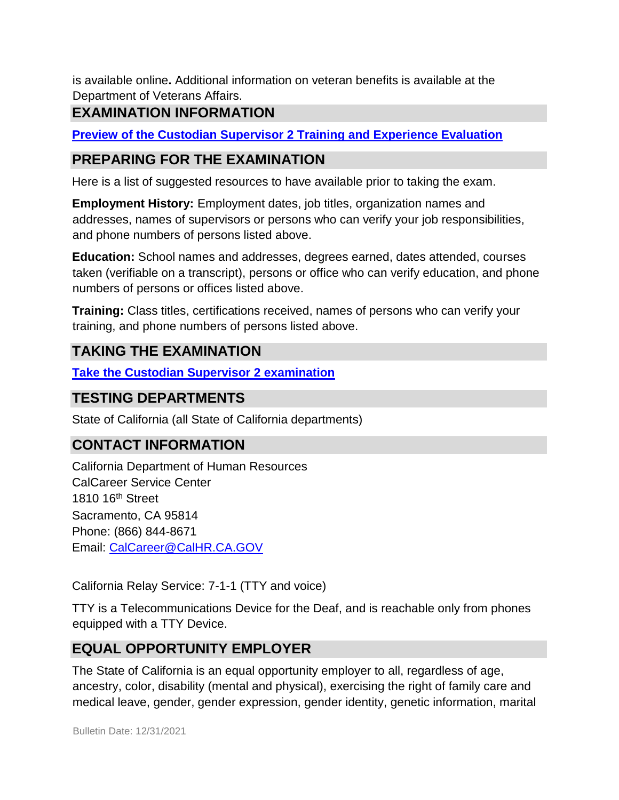is available online**.** Additional information on veteran benefits is available at the Department of Veterans Affairs.

# **EXAMINATION INFORMATION**

**[Preview of the](https://jobs.ca.gov/jobsgen/0PBBJc.pdf) [Custodian Supervisor 2 Training and Experience Evaluation](https://jobs.ca.gov/jobsgen/0PBBJc.pdf)**

### **PREPARING FOR THE EXAMINATION**

Here is a list of suggested resources to have available prior to taking the exam.

**Employment History:** Employment dates, job titles, organization names and addresses, names of supervisors or persons who can verify your job responsibilities, and phone numbers of persons listed above.

**Education:** School names and addresses, degrees earned, dates attended, courses taken (verifiable on a transcript), persons or office who can verify education, and phone numbers of persons or offices listed above.

**Training:** Class titles, certifications received, names of persons who can verify your training, and phone numbers of persons listed above.

### **TAKING THE EXAMINATION**

**[Take the](https://www.jobs.ca.gov/CalHRPublic/Login.aspx?ExamId=0PBBJ) [Custodian Supervisor 2 examination](https://www.jobs.ca.gov/CalHRPublic/Login.aspx?ExamId=0PBBJ)**

#### **TESTING DEPARTMENTS**

State of California (all State of California departments)

### **CONTACT INFORMATION**

California Department of Human Resources CalCareer Service Center 1810 16th Street Sacramento, CA 95814 Phone: (866) 844-8671 Email: CalCareer@CalHR.CA.GOV

California Relay Service: 7-1-1 (TTY and voice)

TTY is a Telecommunications Device for the Deaf, and is reachable only from phones equipped with a TTY Device.

# **EQUAL OPPORTUNITY EMPLOYER**

The State of California is an equal opportunity employer to all, regardless of age, ancestry, color, disability (mental and physical), exercising the right of family care and medical leave, gender, gender expression, gender identity, genetic information, marital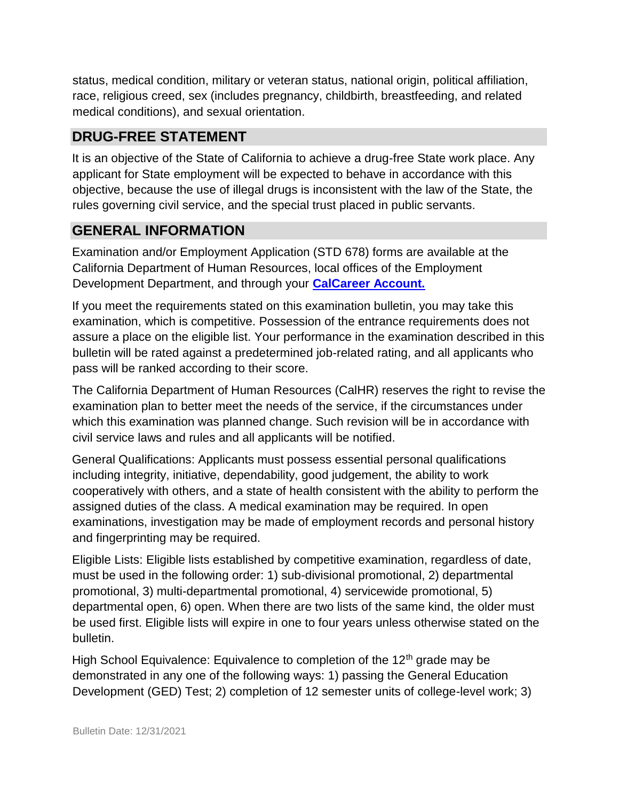status, medical condition, military or veteran status, national origin, political affiliation, race, religious creed, sex (includes pregnancy, childbirth, breastfeeding, and related medical conditions), and sexual orientation.

# **DRUG-FREE STATEMENT**

It is an objective of the State of California to achieve a drug-free State work place. Any applicant for State employment will be expected to behave in accordance with this objective, because the use of illegal drugs is inconsistent with the law of the State, the rules governing civil service, and the special trust placed in public servants.

### **GENERAL INFORMATION**

Examination and/or Employment Application (STD 678) forms are available at the California Department of Human Resources, local offices of the Employment Development Department, and through your **[CalCareer Account.](http://www.jobs.ca.gov/)**

If you meet the requirements stated on this examination bulletin, you may take this examination, which is competitive. Possession of the entrance requirements does not assure a place on the eligible list. Your performance in the examination described in this bulletin will be rated against a predetermined job-related rating, and all applicants who pass will be ranked according to their score.

The California Department of Human Resources (CalHR) reserves the right to revise the examination plan to better meet the needs of the service, if the circumstances under which this examination was planned change. Such revision will be in accordance with civil service laws and rules and all applicants will be notified.

General Qualifications: Applicants must possess essential personal qualifications including integrity, initiative, dependability, good judgement, the ability to work cooperatively with others, and a state of health consistent with the ability to perform the assigned duties of the class. A medical examination may be required. In open examinations, investigation may be made of employment records and personal history and fingerprinting may be required.

Eligible Lists: Eligible lists established by competitive examination, regardless of date, must be used in the following order: 1) sub-divisional promotional, 2) departmental promotional, 3) multi-departmental promotional, 4) servicewide promotional, 5) departmental open, 6) open. When there are two lists of the same kind, the older must be used first. Eligible lists will expire in one to four years unless otherwise stated on the bulletin.

High School Equivalence: Equivalence to completion of the  $12<sup>th</sup>$  grade may be demonstrated in any one of the following ways: 1) passing the General Education Development (GED) Test; 2) completion of 12 semester units of college-level work; 3)